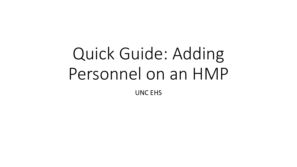# Quick Guide: Adding Personnel on an HMP UNC EHS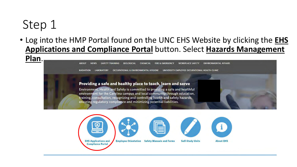• Log into the HMP Portal found on the UNC EHS Website by clicking the **EHS Applications and Compliance Portal** button. Select **Hazards Management** 

**Plan**.

**ABOUT NEWS SAFETY TRAINING BIOLOGICAL CHEMICAL FIRE & EMERGENCY WORKPLACE SAFETY ENVIRONMENTAL AFFAIRS** 

**RADIATION LABORATORY** OCCUPATIONAL & ENVIRONMENTAL HYGIENE UNIVERSITY EMPLOYEE OCCUPATIONAL HEALTH CLINIC

#### Providing a safe and healthy place to teach, learn and serve

Environment, Health and Safety is committed to providing a safe and healthful environment for the Carolina campus and local community through education, training, consultation, recognizing and controlling health and safety hazards, ensuring regulatory compliance and minimizing potential liabilities.

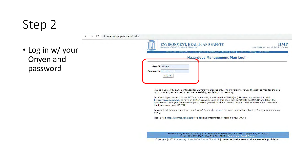· Log in w/ your Onyen and password

 $\mathcal{C}$  $\rightarrow$ 

| <b>ENVIRONMENT, HEALTH AND SAFETY</b><br>University of North Carolina at Chapel Hill | HMP<br>Last Updated: Jan 16, 2020, 3:58 PM                                                       |  |  |  |  |
|--------------------------------------------------------------------------------------|--------------------------------------------------------------------------------------------------|--|--|--|--|
|                                                                                      | about ehs   committees   emergencies   factsheets   forms   help   injuries   sitemap   ehs home |  |  |  |  |
| <b>Hazardous Management Plan Login</b>                                               |                                                                                                  |  |  |  |  |
| Onyen: cskirkla                                                                      |                                                                                                  |  |  |  |  |
| Password:                                                                            |                                                                                                  |  |  |  |  |
| Log On                                                                               |                                                                                                  |  |  |  |  |

This is a University system intended for University purposes only. The University reserves the right to monitor the use of this system, as required, to ensure its stability, availability, and security.

For those departments that are NOT currently using the University ONYEN(sm) Services you will need to visit http://onyen.unc.edu to have an ONYEN created. Once on this page click on "Create an ONYEN" and follow the instructions. Once you have created your ONYEN you will be able to access this and other University Web services in the future using your ONYEN.

Password not being accepted for your Onyen? Please check here for more information about ITS' password expiration policy.

Please visit http://onyen.unc.edu for additional information concerning your Onyen.

Environment, Health & Safety | 1120 Estes Drive Extension, CB#1650 | Chapel Hill, NC 27599 Phone 919-962-5507 | Fax 919-962-0227 | Department Email Contact

Copyright @ 2020 University of North Carolina at Chapel Hill| Unauthorized access to this system is prohibited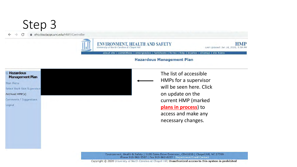A ehs.cloudapps.unc.edu/HMP/Controller



**ENVIRONMENT, HEALTH AND SAFETY** University of North Carolina at Chapel Hil

**HMP** Last Updated: Jan 16, 2020, 3:58 PM

about ehs | committees | emergencies | factsheets | forms | help | injuries | sitemap | ehs home

#### **Hazardous Management Plan**



Main Menu

Select Work Unit Supervisor

Archived HMP(s)

Comments / Suggestions Logout

The list of accessible HMPs for a supervisor will be seen here. Click on update on the current HMP (marked plans in process) to access and make any necessary changes.

Environment, Health & Safety | 1120 Estes Drive Extension, CB#1650 | Chapel Hill, NC 27599 Phone 919-962-5507 | Fax 919-962-0227 | Department Email Contact

Copyright © 2020 University of North Carolina at Chapel Hill| Unauthorized access to this system is prohibited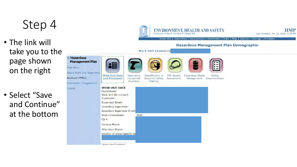- • The link will take you to the on the right page shown
- • Select "Save and Continue" at the bottom

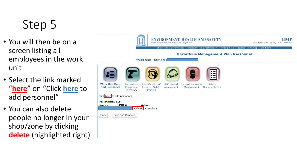- You will then be on a screen listing all employees in the work unit
- Select the link marked "**here**" on "Click **here** to add personnel"
- You can also delete people no longer in your shop/zone by clicking **delete** (highlighted right)

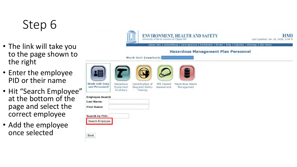- The link will take you to the page shown to the right
- Enter the employee PID or their name
- Hit "Search Employee" at the bottom of the page and select the correct employee
- Add the employee once selected

| about ehs   committees   emergencies   factsheets   forms   help   injuries   sitemap   ehs home |                        |                                      |                                 |                               |                                            |  |  |  |
|--------------------------------------------------------------------------------------------------|------------------------|--------------------------------------|---------------------------------|-------------------------------|--------------------------------------------|--|--|--|
|                                                                                                  |                        |                                      |                                 |                               | <b>Hazardous Management Plan Personnel</b> |  |  |  |
|                                                                                                  |                        | Work Unit (number):                  |                                 |                               |                                            |  |  |  |
|                                                                                                  |                        |                                      |                                 |                               |                                            |  |  |  |
|                                                                                                  |                        |                                      |                                 |                               |                                            |  |  |  |
|                                                                                                  |                        |                                      |                                 |                               |                                            |  |  |  |
| <b>Work Unit Data</b><br>and Personnel                                                           | Hazardous<br>Equipment | Identification of<br>Required Safety | <b>PPE Hazard</b><br>Assessment | Hazardous Waste<br>Management |                                            |  |  |  |
|                                                                                                  | Inventory              | Training                             |                                 |                               |                                            |  |  |  |
| <b>Employee Search</b>                                                                           |                        |                                      |                                 |                               |                                            |  |  |  |
| <b>Last Name:</b>                                                                                |                        |                                      |                                 |                               |                                            |  |  |  |
| <b>First Name:</b>                                                                               |                        |                                      |                                 |                               |                                            |  |  |  |
| <b>Search by PID:</b>                                                                            |                        |                                      |                                 |                               |                                            |  |  |  |
|                                                                                                  |                        |                                      |                                 |                               |                                            |  |  |  |
| Search Employee                                                                                  |                        |                                      |                                 |                               |                                            |  |  |  |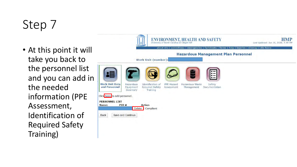• At this point it will take you back to the personnel list and you can add in the needed Identification of Required Safety information (PPE Assessment, Training)